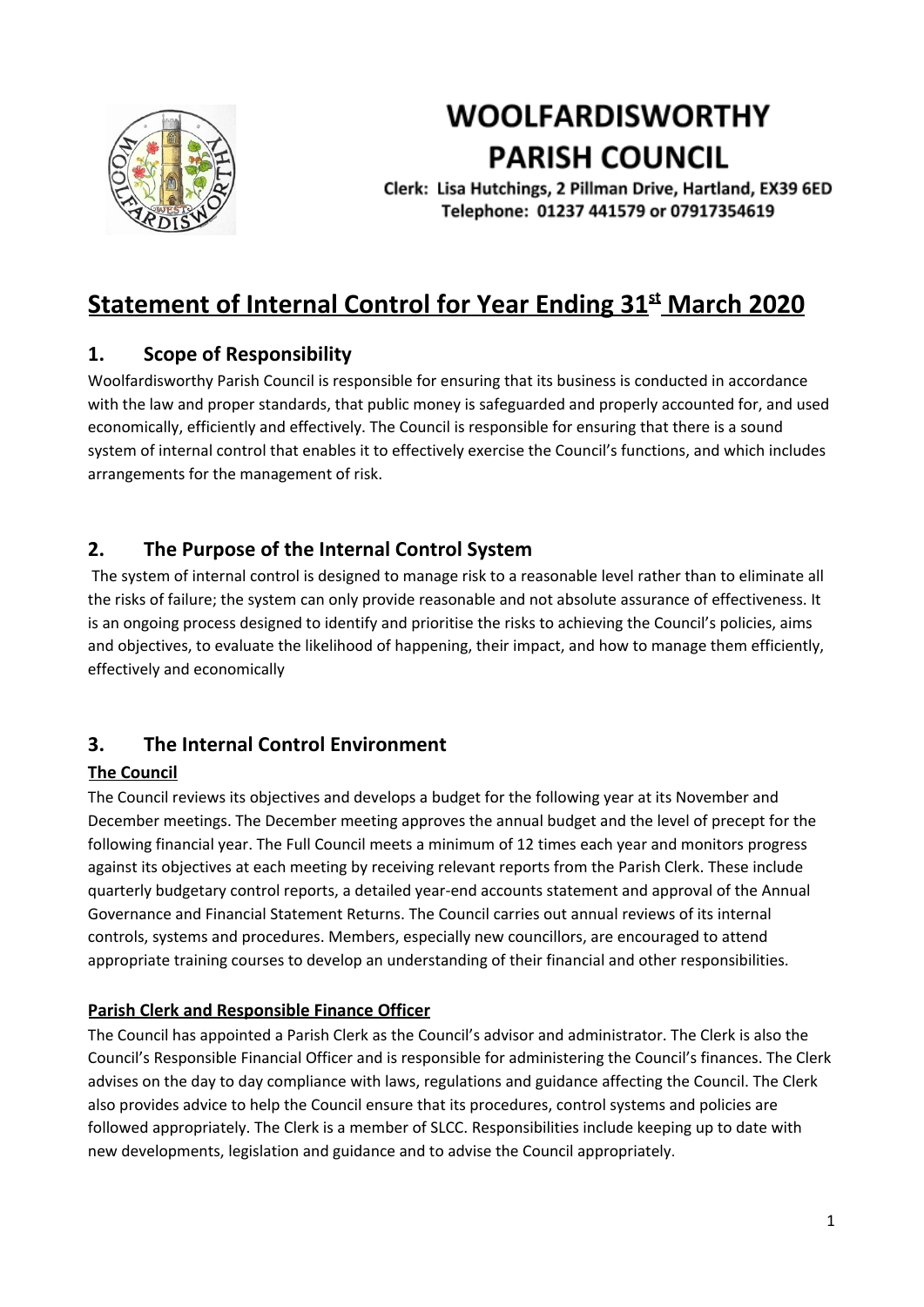

# **WOOLFARDISWORTHY PARISH COUNCIL**

Clerk: Lisa Hutchings, 2 Pillman Drive, Hartland, EX39 6ED Telephone: 01237 441579 or 07917354619

## **Statement of Internal Control for Year Ending 31st March 2020**

## **1. Scope of Responsibility**

Woolfardisworthy Parish Council is responsible for ensuring that its business is conducted in accordance with the law and proper standards, that public money is safeguarded and properly accounted for, and used economically, efficiently and effectively. The Council is responsible for ensuring that there is a sound system of internal control that enables it to effectively exercise the Council's functions, and which includes arrangements for the management of risk.

## **2. The Purpose of the Internal Control System**

The system of internal control is designed to manage risk to a reasonable level rather than to eliminate all the risks of failure; the system can only provide reasonable and not absolute assurance of effectiveness. It is an ongoing process designed to identify and prioritise the risks to achieving the Council's policies, aims and objectives, to evaluate the likelihood of happening, their impact, and how to manage them efficiently, effectively and economically

## **3. The Internal Control Environment**

## **The Council**

The Council reviews its objectives and develops a budget for the following year at its November and December meetings. The December meeting approves the annual budget and the level of precept for the following financial year. The Full Council meets a minimum of 12 times each year and monitors progress against its objectives at each meeting by receiving relevant reports from the Parish Clerk. These include quarterly budgetary control reports, a detailed year-end accounts statement and approval of the Annual Governance and Financial Statement Returns. The Council carries out annual reviews of its internal controls, systems and procedures. Members, especially new councillors, are encouraged to attend appropriate training courses to develop an understanding of their financial and other responsibilities.

### **Parish Clerk and Responsible Finance Officer**

The Council has appointed a Parish Clerk as the Council's advisor and administrator. The Clerk is also the Council's Responsible Financial Officer and is responsible for administering the Council's finances. The Clerk advises on the day to day compliance with laws, regulations and guidance affecting the Council. The Clerk also provides advice to help the Council ensure that its procedures, control systems and policies are followed appropriately. The Clerk is a member of SLCC. Responsibilities include keeping up to date with new developments, legislation and guidance and to advise the Council appropriately.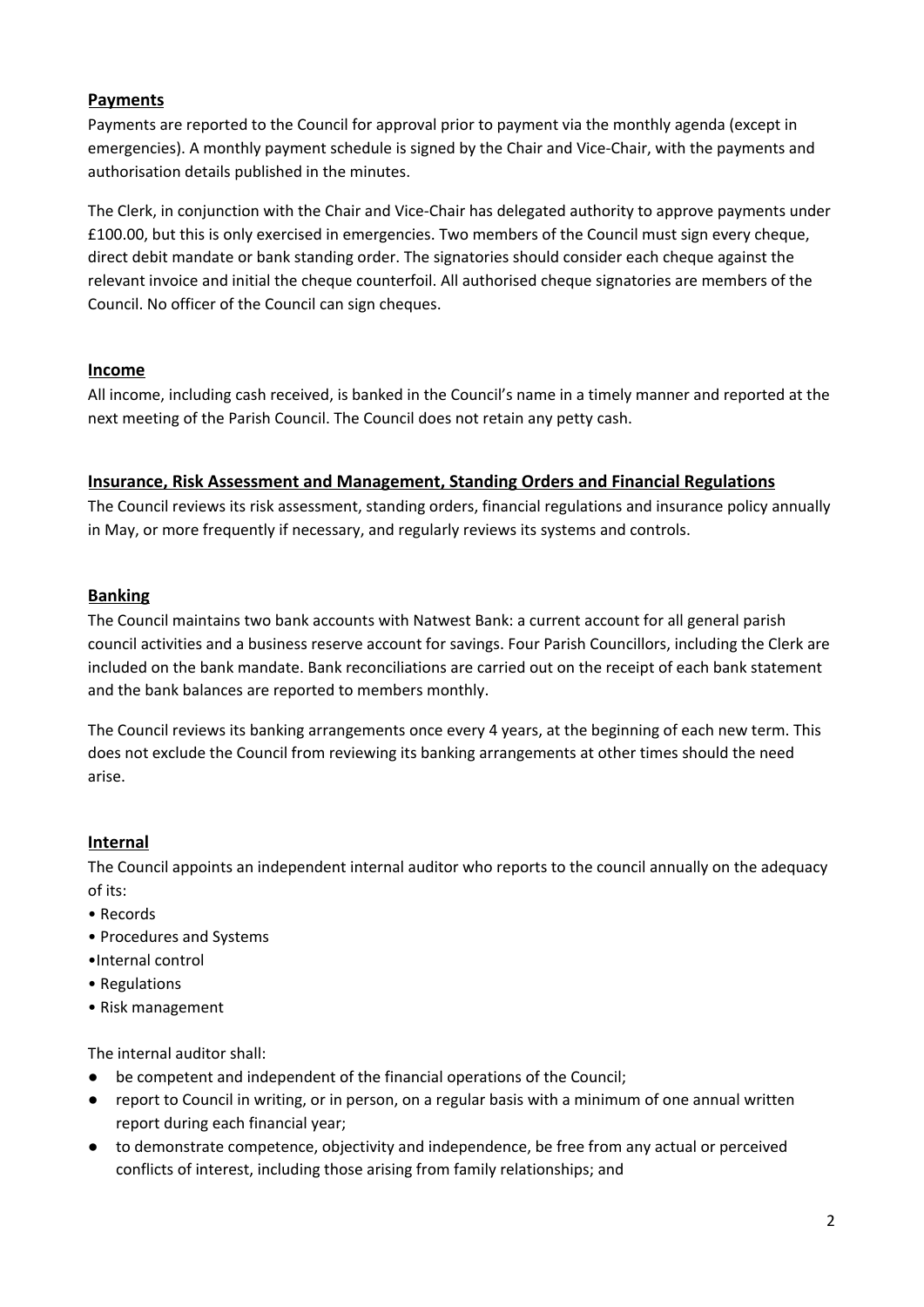#### **Payments**

Payments are reported to the Council for approval prior to payment via the monthly agenda (except in emergencies). A monthly payment schedule is signed by the Chair and Vice-Chair, with the payments and authorisation details published in the minutes.

The Clerk, in conjunction with the Chair and Vice-Chair has delegated authority to approve payments under £100.00, but this is only exercised in emergencies. Two members of the Council must sign every cheque, direct debit mandate or bank standing order. The signatories should consider each cheque against the relevant invoice and initial the cheque counterfoil. All authorised cheque signatories are members of the Council. No officer of the Council can sign cheques.

#### **Income**

All income, including cash received, is banked in the Council's name in a timely manner and reported at the next meeting of the Parish Council. The Council does not retain any petty cash.

#### **Insurance, Risk Assessment and Management, Standing Orders and Financial Regulations**

The Council reviews its risk assessment, standing orders, financial regulations and insurance policy annually in May, or more frequently if necessary, and regularly reviews its systems and controls.

#### **Banking**

The Council maintains two bank accounts with Natwest Bank: a current account for all general parish council activities and a business reserve account for savings. Four Parish Councillors, including the Clerk are included on the bank mandate. Bank reconciliations are carried out on the receipt of each bank statement and the bank balances are reported to members monthly.

The Council reviews its banking arrangements once every 4 years, at the beginning of each new term. This does not exclude the Council from reviewing its banking arrangements at other times should the need arise.

#### **Internal**

The Council appoints an independent internal auditor who reports to the council annually on the adequacy of its:

- Records
- Procedures and Systems
- •Internal control
- Regulations
- Risk management

The internal auditor shall:

- be competent and independent of the financial operations of the Council;
- report to Council in writing, or in person, on a regular basis with a minimum of one annual written report during each financial year;
- to demonstrate competence, objectivity and independence, be free from any actual or perceived conflicts of interest, including those arising from family relationships; and